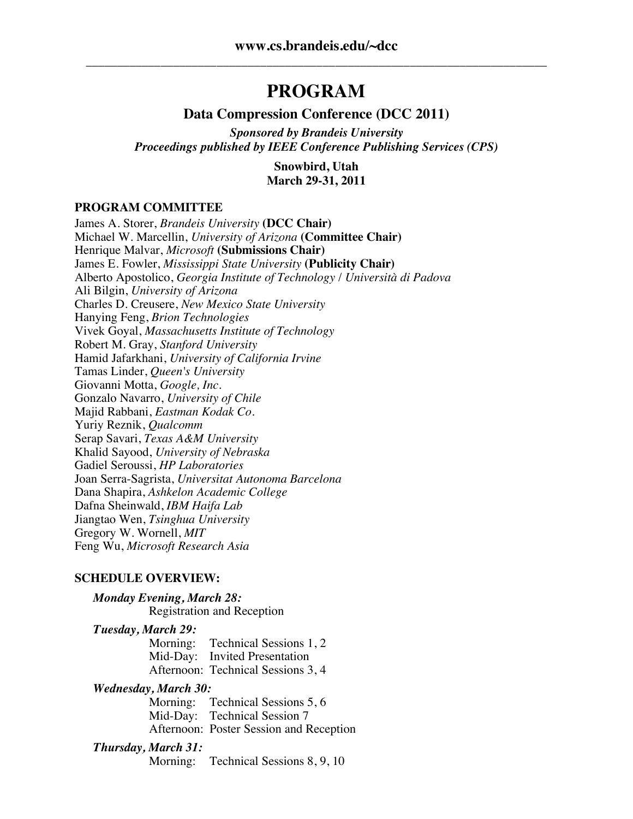## **PROGRAM**

#### **Data Compression Conference (DCC 2011)**

*Sponsored by Brandeis University Proceedings published by IEEE Conference Publishing Services (CPS)*

> **Snowbird, Utah March 29-31, 2011**

#### **PROGRAM COMMITTEE**

James A. Storer, *Brandeis University* **(DCC Chair)** Michael W. Marcellin, *University of Arizona* **(Committee Chair)** Henrique Malvar, *Microsoft* **(Submissions Chair)** James E. Fowler, *Mississippi State University* **(Publicity Chair)** Alberto Apostolico, *Georgia Institute of Technology* / *Università di Padova* Ali Bilgin, *University of Arizona* Charles D. Creusere, *New Mexico State University* Hanying Feng, *Brion Technologies* Vivek Goyal, *Massachusetts Institute of Technology* Robert M. Gray, *Stanford University* Hamid Jafarkhani, *University of California Irvine* Tamas Linder, *Queen's University* Giovanni Motta, *Google, Inc.* Gonzalo Navarro, *University of Chile* Majid Rabbani, *Eastman Kodak Co.* Yuriy Reznik, *Qualcomm* Serap Savari, *Texas A&M University* Khalid Sayood, *University of Nebraska* Gadiel Seroussi, *HP Laboratories* Joan Serra-Sagrista, *Universitat Autonoma Barcelona* Dana Shapira, *Ashkelon Academic College* Dafna Sheinwald, *IBM Haifa Lab* Jiangtao Wen, *Tsinghua University* Gregory W. Wornell, *MIT* Feng Wu, *Microsoft Research Asia*

#### **SCHEDULE OVERVIEW:**

*Monday Evening, March 28:* Registration and Reception

# *Tuesday, March 29:*

Technical Sessions 1, 2 Mid-Day: Invited Presentation Afternoon: Technical Sessions 3, 4

# *Wednesday, March 30:*

Technical Sessions 5, 6 Mid-Day: Technical Session 7 Afternoon: Poster Session and Reception

#### *Thursday, March 31:*

Morning: Technical Sessions 8, 9, 10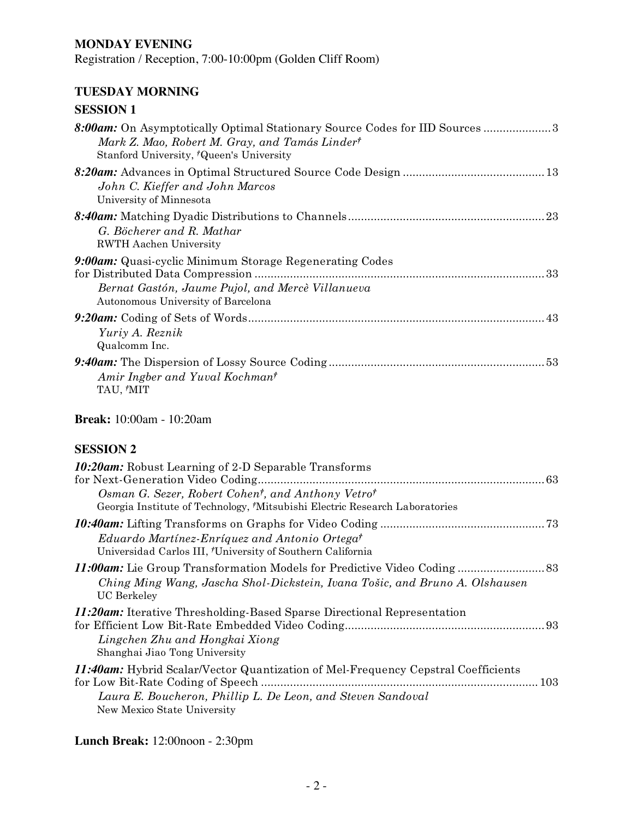### **MONDAY EVENING**

Registration / Reception, 7:00-10:00pm (Golden Cliff Room)

### **TUESDAY MORNING**

## **SESSION 1**

| 8:00am: On Asymptotically Optimal Stationary Source Codes for IID Sources 3<br>Mark Z. Mao, Robert M. Gray, and Tamás Linder <sup>†</sup><br>Stanford University, 'Queen's University |
|---------------------------------------------------------------------------------------------------------------------------------------------------------------------------------------|
| John C. Kieffer and John Marcos<br>University of Minnesota                                                                                                                            |
| G. Böcherer and R. Mathar<br><b>RWTH Aachen University</b>                                                                                                                            |
| <b>9:00am:</b> Quasi-cyclic Minimum Storage Regenerating Codes<br>Bernat Gastón, Jaume Pujol, and Mercè Villanueva<br>Autonomous University of Barcelona                              |
| Yuriy A. Reznik<br>Qualcomm Inc.                                                                                                                                                      |
| Amir Ingber and Yuval Kochman <sup>†</sup><br>TAU, 'MIT                                                                                                                               |

## **Break:** 10:00am - 10:20am

## **SESSION 2**

| <b>10:20am:</b> Robust Learning of 2-D Separable Transforms<br>for Next-Generation Video Coding<br>Osman G. Sezer, Robert Cohen <sup>†</sup> , and Anthony Vetro <sup>†</sup><br>Georgia Institute of Technology, Mitsubishi Electric Research Laboratories |  |
|-------------------------------------------------------------------------------------------------------------------------------------------------------------------------------------------------------------------------------------------------------------|--|
| Eduardo Martínez-Enríquez and Antonio Ortega <sup>†</sup><br>Universidad Carlos III, 'University of Southern California                                                                                                                                     |  |
| Ching Ming Wang, Jascha Shol-Dickstein, Ivana Tošic, and Bruno A. Olshausen<br>UC Berkeley                                                                                                                                                                  |  |
| <b>11:20am:</b> Iterative Thresholding-Based Sparse Directional Representation<br>Lingchen Zhu and Hongkai Xiong<br>Shanghai Jiao Tong University                                                                                                           |  |
| <i><b>11:40am:</b></i> Hybrid Scalar/Vector Quantization of Mel-Frequency Cepstral Coefficients<br>Laura E. Boucheron, Phillip L. De Leon, and Steven Sandoval<br>New Mexico State University                                                               |  |

## **Lunch Break:** 12:00noon - 2:30pm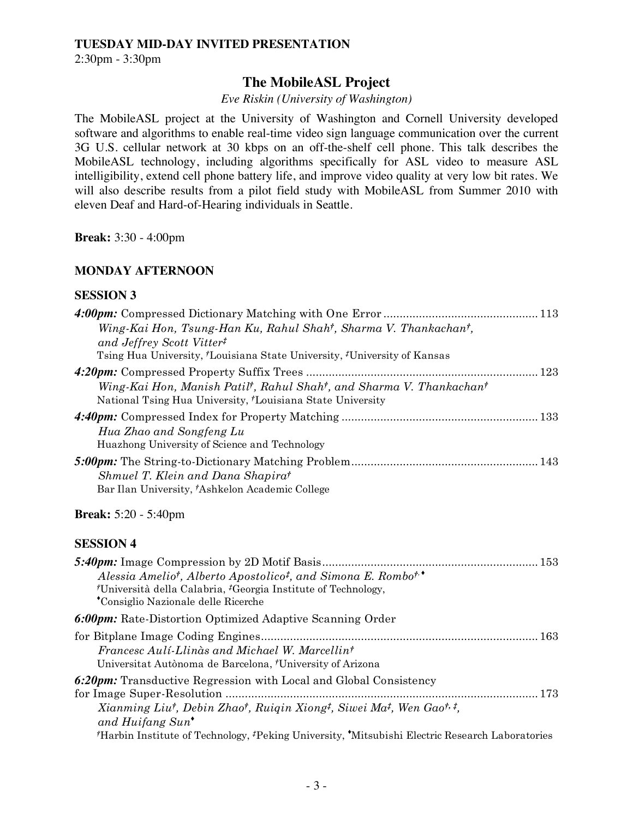#### **TUESDAY MID-DAY INVITED PRESENTATION**

2:30pm - 3:30pm

## **The MobileASL Project**

#### *Eve Riskin (University of Washington)*

The MobileASL project at the University of Washington and Cornell University developed software and algorithms to enable real-time video sign language communication over the current 3G U.S. cellular network at 30 kbps on an off-the-shelf cell phone. This talk describes the MobileASL technology, including algorithms specifically for ASL video to measure ASL intelligibility, extend cell phone battery life, and improve video quality at very low bit rates. We will also describe results from a pilot field study with MobileASL from Summer 2010 with eleven Deaf and Hard-of-Hearing individuals in Seattle.

**Break:** 3:30 - 4:00pm

#### **MONDAY AFTERNOON**

#### **SESSION 3**

| Wing-Kai Hon, Tsung-Han Ku, Rahul Shah <sup>†</sup> , Sharma V. Thankachan <sup>†</sup> ,                                                                                      |  |
|--------------------------------------------------------------------------------------------------------------------------------------------------------------------------------|--|
| and Jeffrey Scott Vitter <sup>#</sup>                                                                                                                                          |  |
| Tsing Hua University, <i>†Louisiana State University</i> , <i>‡University of Kansas</i>                                                                                        |  |
| Wing-Kai Hon, Manish Patil <sup>†</sup> , Rahul Shah <sup>†</sup> , and Sharma V. Thankachan <sup>†</sup><br>National Tsing Hua University, <i>†Louisiana State University</i> |  |
| Hua Zhao and Songfeng Lu<br>Huazhong University of Science and Technology                                                                                                      |  |
| Shmuel T. Klein and Dana Shapirat<br>Bar Ilan University, 'Ashkelon Academic College                                                                                           |  |

#### **Break:** 5:20 - 5:40pm

#### **SESSION 4**

| Alessia Amelio <sup>†</sup> , Alberto Apostolico <sup>†</sup> , and Simona E. Rombo <sup>†,</sup>                       |  |
|-------------------------------------------------------------------------------------------------------------------------|--|
| <sup>†</sup> Università della Calabria, <sup>‡</sup> Georgia Institute of Technology,                                   |  |
| *Consiglio Nazionale delle Ricerche                                                                                     |  |
| <b>6:00pm:</b> Rate-Distortion Optimized Adaptive Scanning Order                                                        |  |
|                                                                                                                         |  |
| Francesc Auli-Llings and Michael W. Marcellin <sup>†</sup>                                                              |  |
| Universitat Autònoma de Barcelona, 'University of Arizona                                                               |  |
| <b>6:20pm:</b> Transductive Regression with Local and Global Consistency                                                |  |
|                                                                                                                         |  |
| Xianming Liut, Debin Zhaot, Ruigin Xiong <sup>‡</sup> , Siwei Ma <sup>‡</sup> , Wen Gaot, <sup>‡</sup> ,                |  |
| and Huifang $Sun^{\bullet}$                                                                                             |  |
| <sup>†</sup> Harbin Institute of Technology, <sup>‡</sup> Peking University, 'Mitsubishi Electric Research Laboratories |  |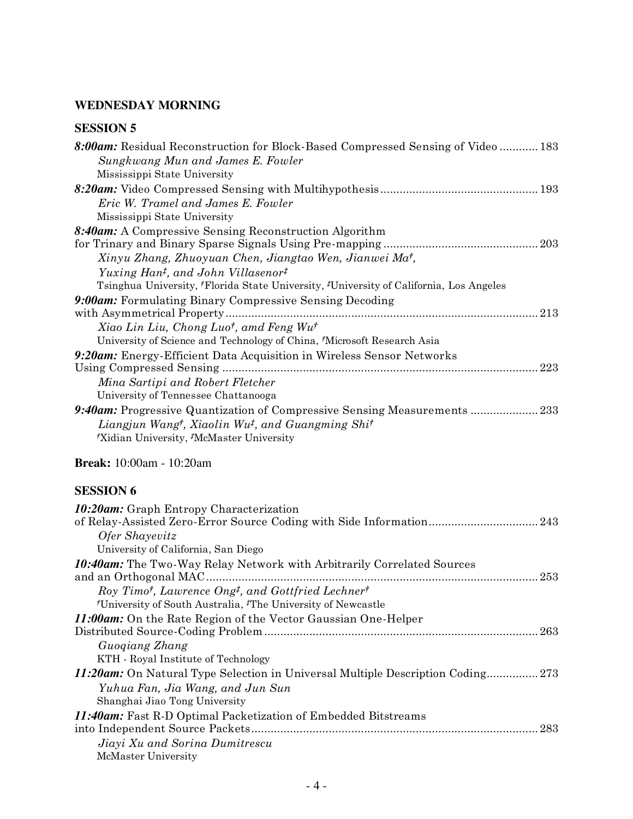## **WEDNESDAY MORNING**

## **SESSION 5**

| 8:00am: Residual Reconstruction for Block-Based Compressed Sensing of Video 183        |     |
|----------------------------------------------------------------------------------------|-----|
| Sungkwang Mun and James E. Fowler                                                      |     |
| Mississippi State University                                                           |     |
|                                                                                        |     |
| Eric W. Tramel and James E. Fowler                                                     |     |
| Mississippi State University                                                           |     |
| 8:40am: A Compressive Sensing Reconstruction Algorithm                                 |     |
|                                                                                        |     |
| Xinyu Zhang, Zhuoyuan Chen, Jiangtao Wen, Jianwei Ma <sup>†</sup> ,                    |     |
| Yuxing Han <sup>t</sup> , and John Villasenor <sup>†</sup>                             |     |
| Tsinghua University, 'Florida State University, 'University of California, Los Angeles |     |
| 9:00am: Formulating Binary Compressive Sensing Decoding                                |     |
|                                                                                        |     |
| Xiao Lin Liu, Chong Luo <sup>†</sup> , amd Feng Wu <sup>†</sup>                        |     |
| University of Science and Technology of China, 'Microsoft Research Asia                |     |
| 9:20am: Energy-Efficient Data Acquisition in Wireless Sensor Networks                  |     |
|                                                                                        | 223 |
| Mina Sartipi and Robert Fletcher                                                       |     |
| University of Tennessee Chattanooga                                                    |     |
| 9:40am: Progressive Quantization of Compressive Sensing Measurements 233               |     |
| Liangjun Wang <sup>†</sup> , Xiaolin Wu <sup>‡</sup> , and Guangming Shi <sup>†</sup>  |     |
| Xidian University, McMaster University                                                 |     |
|                                                                                        |     |

## **Break:** 10:00am - 10:20am

## **SESSION 6**

| <b>10:20am:</b> Graph Entropy Characterization                                                                |
|---------------------------------------------------------------------------------------------------------------|
|                                                                                                               |
| <i><b>Ofer Shayevitz</b></i>                                                                                  |
| University of California, San Diego                                                                           |
| <b>10:40am:</b> The Two-Way Relay Network with Arbitrarily Correlated Sources<br>and an Orthogonal MAC<br>253 |
| Roy Timot, Lawrence Ongt, and Gottfried Lechnert                                                              |
| <sup>†</sup> University of South Australia, <sup>‡</sup> The University of Newcastle                          |
| <i>11:00am:</i> On the Rate Region of the Vector Gaussian One-Helper                                          |
| 263                                                                                                           |
| Guogiang Zhang                                                                                                |
| KTH - Royal Institute of Technology                                                                           |
| 11:20am: On Natural Type Selection in Universal Multiple Description Coding 273                               |
| Yuhua Fan, Jia Wang, and Jun Sun                                                                              |
| Shanghai Jiao Tong University                                                                                 |
| 11:40am: Fast R-D Optimal Packetization of Embedded Bitstreams                                                |
| -283                                                                                                          |
| Jiayi Xu and Sorina Dumitrescu                                                                                |
| McMaster University                                                                                           |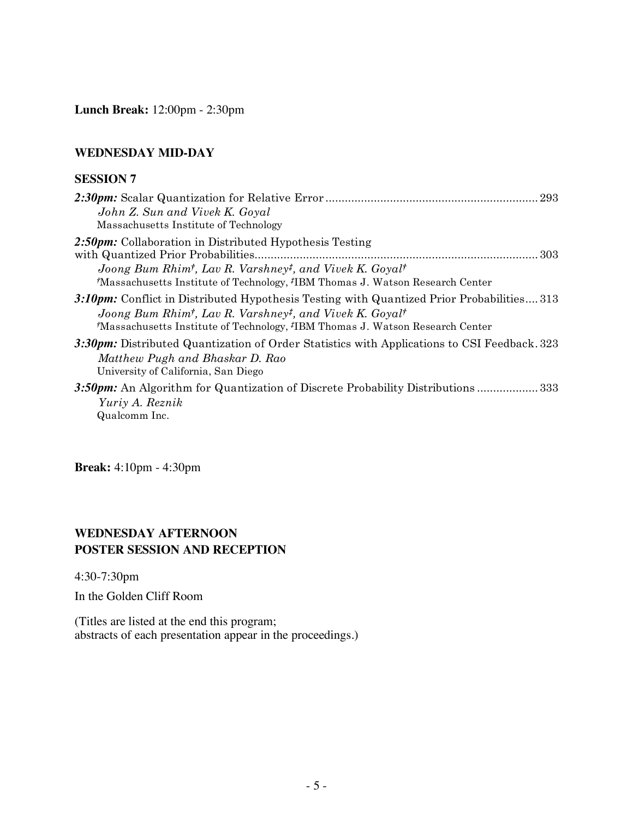**Lunch Break:** 12:00pm - 2:30pm

#### **WEDNESDAY MID-DAY**

#### **SESSION 7**

| John Z. Sun and Vivek K. Goyal                                                                                                                                                                                                                                            |
|---------------------------------------------------------------------------------------------------------------------------------------------------------------------------------------------------------------------------------------------------------------------------|
| Massachusetts Institute of Technology                                                                                                                                                                                                                                     |
| 2:50pm: Collaboration in Distributed Hypothesis Testing<br>Joong Bum Rhim <sup>†</sup> , Lav R. Varshney <sup>‡</sup> , and Vivek K. Goyal <sup>†</sup>                                                                                                                   |
| *Massachusetts Institute of Technology, <sup>#</sup> IBM Thomas J. Watson Research Center                                                                                                                                                                                 |
| 3:10pm: Conflict in Distributed Hypothesis Testing with Quantized Prior Probabilities313<br>Joong Bum Rhim <sup>†</sup> , Lav R. Varshney <sup>‡</sup> , and Vivek K. Goyal <sup>†</sup><br>*Massachusetts Institute of Technology, *IBM Thomas J. Watson Research Center |
| 3:30 pm: Distributed Quantization of Order Statistics with Applications to CSI Feedback. 323<br>Matthew Pugh and Bhaskar D. Rao<br>University of California, San Diego                                                                                                    |
| 333. 3.50pm: An Algorithm for Quantization of Discrete Probability Distributions  333                                                                                                                                                                                     |
| Yuriy A. Reznik                                                                                                                                                                                                                                                           |
| Qualcomm Inc.                                                                                                                                                                                                                                                             |

**Break:** 4:10pm - 4:30pm

#### **WEDNESDAY AFTERNOON POSTER SESSION AND RECEPTION**

4:30-7:30pm

In the Golden Cliff Room

(Titles are listed at the end this program; abstracts of each presentation appear in the proceedings.)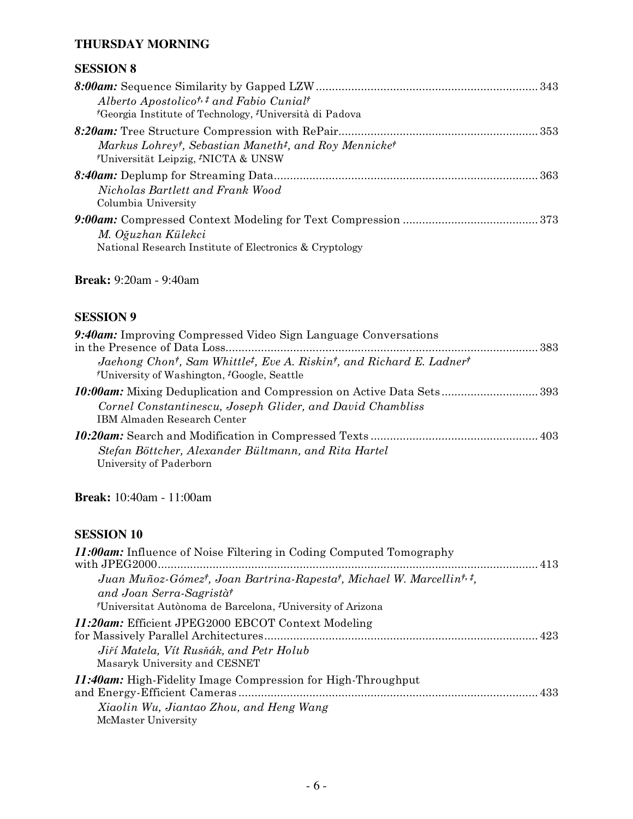## **THURSDAY MORNING**

## **SESSION 8**

| Alberto Apostolico <sup>†, ‡</sup> and Fabio Cunial <sup>†</sup><br><i>†</i> Georgia Institute of Technology, <i>†</i> Università di Padova  |  |
|----------------------------------------------------------------------------------------------------------------------------------------------|--|
|                                                                                                                                              |  |
| Markus Lohrey <sup>†</sup> , Sebastian Maneth <sup>‡</sup> , and Roy Mennicke <sup>†</sup><br>Universität Leipzig, <sup>*</sup> NICTA & UNSW |  |
| Nicholas Bartlett and Frank Wood<br>Columbia University                                                                                      |  |
| M. Oğuzhan Külekci<br>National Research Institute of Electronics & Cryptology                                                                |  |

## **Break:** 9:20am - 9:40am

## **SESSION 9**

| 9:40am: Improving Compressed Video Sign Language Conversations                                                                                                                                |  |
|-----------------------------------------------------------------------------------------------------------------------------------------------------------------------------------------------|--|
|                                                                                                                                                                                               |  |
| Jaehong Chon <sup>†</sup> , Sam Whittle <sup>‡</sup> , Eve A. Riskin <sup>†</sup> , and Richard E. Ladner <sup>†</sup><br><sup>†</sup> University of Washington, <sup>†</sup> Google, Seattle |  |
|                                                                                                                                                                                               |  |
| Cornel Constantinescu, Joseph Glider, and David Chambliss<br><b>IBM Almaden Research Center</b>                                                                                               |  |
| Stefan Böttcher, Alexander Bültmann, and Rita Hartel                                                                                                                                          |  |
| University of Paderborn                                                                                                                                                                       |  |

**Break:** 10:40am - 11:00am

## **SESSION 10**

| <b>11:00am:</b> Influence of Noise Filtering in Coding Computed Tomography                                                                                                                                                   |  |
|------------------------------------------------------------------------------------------------------------------------------------------------------------------------------------------------------------------------------|--|
| Juan Muñoz-Gómez <sup>†</sup> , Joan Bartrina-Rapesta <sup>†</sup> , Michael W. Marcellin <sup>†, ‡</sup> ,<br>and Joan Serra-Sagristà<br><sup>†</sup> Universitat Autònoma de Barcelona, <sup>†</sup> University of Arizona |  |
| 11:20am: Efficient JPEG2000 EBCOT Context Modeling<br>Jiří Matela, Vít Rusňák, and Petr Holub<br>Masaryk University and CESNET                                                                                               |  |
| <b>11:40am:</b> High-Fidelity Image Compression for High-Throughput<br>Xiaolin Wu, Jiantao Zhou, and Heng Wang<br>McMaster University                                                                                        |  |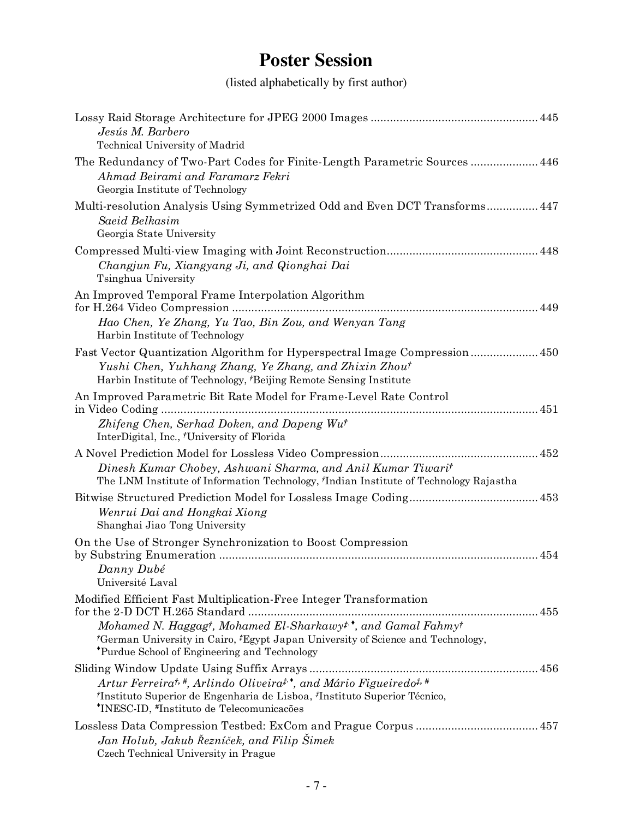## **Poster Session**

(listed alphabetically by first author)

| Jesús M. Barbero<br>Technical University of Madrid                                                                                                                                                                                                                                                                     |
|------------------------------------------------------------------------------------------------------------------------------------------------------------------------------------------------------------------------------------------------------------------------------------------------------------------------|
| The Redundancy of Two-Part Codes for Finite-Length Parametric Sources 446<br>Ahmad Beirami and Faramarz Fekri<br>Georgia Institute of Technology                                                                                                                                                                       |
| Multi-resolution Analysis Using Symmetrized Odd and Even DCT Transforms 447<br>Saeid Belkasim<br>Georgia State University                                                                                                                                                                                              |
| Changjun Fu, Xiangyang Ji, and Qionghai Dai<br>Tsinghua University                                                                                                                                                                                                                                                     |
| An Improved Temporal Frame Interpolation Algorithm<br>Hao Chen, Ye Zhang, Yu Tao, Bin Zou, and Wenyan Tang<br>Harbin Institute of Technology                                                                                                                                                                           |
| Fast Vector Quantization Algorithm for Hyperspectral Image Compression 450<br>Yushi Chen, Yuhhang Zhang, Ye Zhang, and Zhixin Zhout<br>Harbin Institute of Technology, <sup>†</sup> Beijing Remote Sensing Institute                                                                                                   |
| An Improved Parametric Bit Rate Model for Frame-Level Rate Control<br>Zhifeng Chen, Serhad Doken, and Dapeng Wu <sup>†</sup><br>InterDigital, Inc., 'University of Florida                                                                                                                                             |
| Dinesh Kumar Chobey, Ashwani Sharma, and Anil Kumar Tiwarit<br>The LNM Institute of Information Technology, 'Indian Institute of Technology Rajastha                                                                                                                                                                   |
| Wenrui Dai and Hongkai Xiong<br>Shanghai Jiao Tong University                                                                                                                                                                                                                                                          |
| On the Use of Stronger Synchronization to Boost Compression<br>Danny Dubé<br>Université Laval                                                                                                                                                                                                                          |
| Modified Efficient Fast Multiplication-Free Integer Transformation<br>Mohamed N. Haggagt, Mohamed El-Sharkawy <sup>#,*</sup> , and Gamal Fahmy <sup>†</sup><br><sup>†</sup> German University in Cairo, <sup>‡</sup> Egypt Japan University of Science and Technology,<br>*Purdue School of Engineering and Technology |
| Artur Ferreira <sup>†, #</sup> , Arlindo Oliveira <sup>†,</sup> and Mário Figueiredo <sup>†, #</sup><br><sup>†</sup> Instituto Superior de Engenharia de Lisboa, <sup>‡</sup> Instituto Superior Técnico,<br>'INESC-ID, #Instituto de Telecomunicações                                                                 |
| Jan Holub, Jakub Řezníček, and Filip Šimek<br>Czech Technical University in Prague                                                                                                                                                                                                                                     |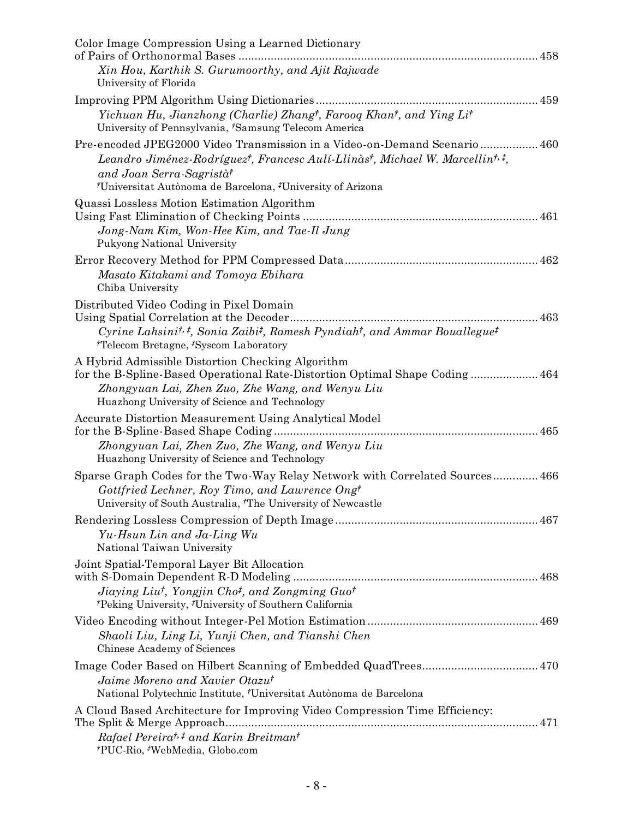| Color Image Compression Using a Learned Dictionary                                                                                                                                                                                                                                                                |
|-------------------------------------------------------------------------------------------------------------------------------------------------------------------------------------------------------------------------------------------------------------------------------------------------------------------|
| Xin Hou, Karthik S. Gurumoorthy, and Ajit Rajwade<br>University of Florida                                                                                                                                                                                                                                        |
| Yichuan Hu, Jianzhong (Charlie) Zhang <sup>†</sup> , Farooq Khan <sup>†</sup> , and Ying Li <sup>†</sup><br>University of Pennsylvania, 'Samsung Telecom America                                                                                                                                                  |
| Pre-encoded JPEG2000 Video Transmission in a Video-on-Demand Scenario 460<br>Leandro Jiménez-Rodríguez <sup>†</sup> , Francesc Aulí-Llinàs†, Michael W. Marcellin <sup>†, ‡</sup> ,<br>and Joan Serra-Sagristà <sup>†</sup><br><sup>†</sup> Universitat Autònoma de Barcelona, <sup>‡</sup> University of Arizona |
| Quassi Lossless Motion Estimation Algorithm<br>Jong-Nam Kim, Won-Hee Kim, and Tae-Il Jung<br>Pukyong National University                                                                                                                                                                                          |
| 462<br>Masato Kitakami and Tomoya Ebihara<br>Chiba University                                                                                                                                                                                                                                                     |
| Distributed Video Coding in Pixel Domain<br>Cyrine Lahsini <sup>t, <math>t</math></sup> , Sonia Zaibi <sup><math>t</math></sup> , Ramesh Pyndiah <sup><math>t</math></sup> , and Ammar Bouallegue <sup><math>t</math></sup><br><sup>†</sup> Telecom Bretagne, <sup>‡</sup> Syscom Laboratory                      |
| A Hybrid Admissible Distortion Checking Algorithm<br>for the B-Spline-Based Operational Rate-Distortion Optimal Shape Coding 464<br>Zhongyuan Lai, Zhen Zuo, Zhe Wang, and Wenyu Liu<br>Huazhong University of Science and Technology                                                                             |
| Accurate Distortion Measurement Using Analytical Model<br>Zhongyuan Lai, Zhen Zuo, Zhe Wang, and Wenyu Liu<br>Huazhong University of Science and Technology                                                                                                                                                       |
| Sparse Graph Codes for the Two-Way Relay Network with Correlated Sources 466<br>Gottfried Lechner, Roy Timo, and Lawrence Ongt<br>University of South Australia, <sup>†</sup> The University of Newcastle                                                                                                         |
| Yu-Hsun Lin and Ja-Ling Wu<br>National Taiwan University                                                                                                                                                                                                                                                          |
| Joint Spatial-Temporal Layer Bit Allocation<br>Jiaying Liut, Yongjin Cho <sup>†</sup> , and Zongming Guo <sup>†</sup><br>*Peking University, *University of Southern California                                                                                                                                   |
| Shaoli Liu, Ling Li, Yunji Chen, and Tianshi Chen<br>Chinese Academy of Sciences                                                                                                                                                                                                                                  |
| Image Coder Based on Hilbert Scanning of Embedded QuadTrees 470<br>Jaime Moreno and Xavier Otazut<br>National Polytechnic Institute, 'Universitat Autònoma de Barcelona                                                                                                                                           |
| A Cloud Based Architecture for Improving Video Compression Time Efficiency:<br>Rafael Pereira <sup>t, #</sup> and Karin Breitman <sup>t</sup><br>*PUC-Rio, *WebMedia, Globo.com                                                                                                                                   |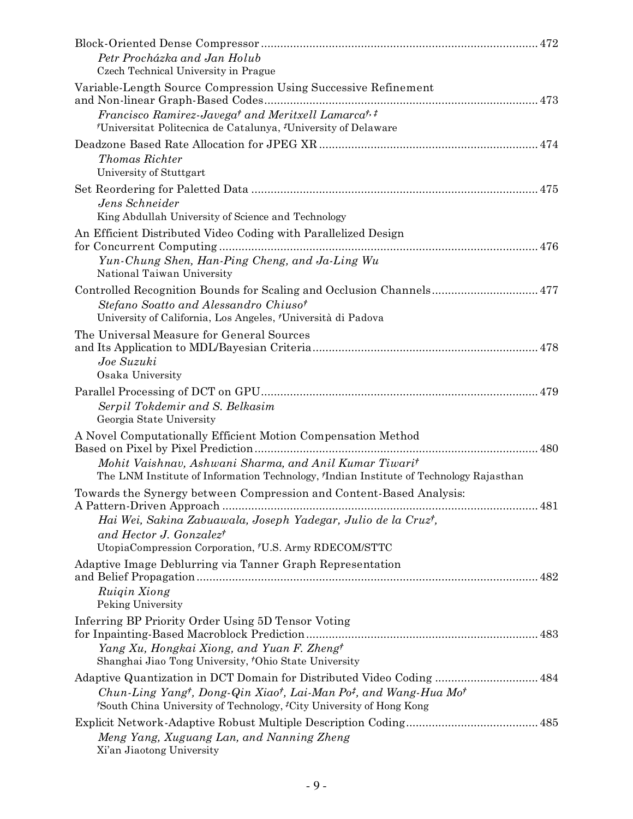| Petr Procházka and Jan Holub<br>Czech Technical University in Prague                                                                                                                                                                                                                            |
|-------------------------------------------------------------------------------------------------------------------------------------------------------------------------------------------------------------------------------------------------------------------------------------------------|
| Variable-Length Source Compression Using Successive Refinement                                                                                                                                                                                                                                  |
| Francisco Ramirez-Javega <sup>†</sup> and Meritxell Lamarca <sup>†, ‡</sup><br><sup>†</sup> Universitat Politecnica de Catalunya, <sup>‡</sup> University of Delaware                                                                                                                           |
| <b>Thomas Richter</b><br>University of Stuttgart                                                                                                                                                                                                                                                |
| Jens Schneider<br>King Abdullah University of Science and Technology                                                                                                                                                                                                                            |
| An Efficient Distributed Video Coding with Parallelized Design<br>Yun-Chung Shen, Han-Ping Cheng, and Ja-Ling Wu<br>National Taiwan University                                                                                                                                                  |
| Controlled Recognition Bounds for Scaling and Occlusion Channels 477<br>Stefano Soatto and Alessandro Chiuso <sup>†</sup><br>University of California, Los Angeles, 'Università di Padova                                                                                                       |
| The Universal Measure for General Sources<br>Joe Suzuki<br>Osaka University                                                                                                                                                                                                                     |
| Serpil Tokdemir and S. Belkasim<br>Georgia State University                                                                                                                                                                                                                                     |
| A Novel Computationally Efficient Motion Compensation Method<br>Mohit Vaishnav, Ashwani Sharma, and Anil Kumar Tiwarit<br>The LNM Institute of Information Technology, <sup>†</sup> Indian Institute of Technology Rajasthan                                                                    |
| Towards the Synergy between Compression and Content-Based Analysis:<br>Hai Wei, Sakina Zabuawala, Joseph Yadegar, Julio de la Cruz <sup>†</sup> ,<br>and Hector J. Gonzalez <sup>†</sup><br>UtopiaCompression Corporation, <sup>†</sup> U.S. Army RDECOM/STTC                                   |
| Adaptive Image Deblurring via Tanner Graph Representation<br>Ruigin Xiong<br>Peking University                                                                                                                                                                                                  |
| Inferring BP Priority Order Using 5D Tensor Voting<br>Yang Xu, Hongkai Xiong, and Yuan F. Zhengt<br>Shanghai Jiao Tong University, 'Ohio State University                                                                                                                                       |
| Adaptive Quantization in DCT Domain for Distributed Video Coding  484<br>Chun-Ling Yang <sup>†</sup> , Dong-Qin Xiao <sup>†</sup> , Lai-Man Po <sup>‡</sup> , and Wang-Hua Mo <sup>†</sup><br><sup><i>†</i>South China University of Technology, <sup>‡</sup>City University of Hong Kong</sup> |
| Meng Yang, Xuguang Lan, and Nanning Zheng<br>Xi'an Jiaotong University                                                                                                                                                                                                                          |